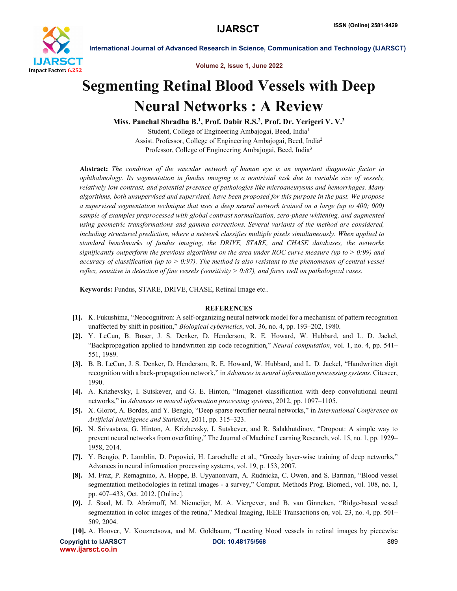

International Journal of Advanced Research in Science, Communication and Technology (IJARSCT)

Volume 2, Issue 1, June 2022

# Segmenting Retinal Blood Vessels with Deep Neural Networks : A Review

Miss. Panchal Shradha B.<sup>1</sup>, Prof. Dabir R.S.<sup>2</sup>, Prof. Dr. Yerigeri V. V.<sup>3</sup> Student, College of Engineering Ambajogai, Beed, India1 Assist. Professor, College of Engineering Ambajogai, Beed, India2 Professor, College of Engineering Ambajogai, Beed, India3

Abstract: *The condition of the vascular network of human eye is an important diagnostic factor in ophthalmology. Its segmentation in fundus imaging is a nontrivial task due to variable size of vessels, relatively low contrast, and potential presence of pathologies like microaneurysms and hemorrhages. Many algorithms, both unsupervised and supervised, have been proposed for this purpose in the past. We propose a supervised segmentation technique that uses a deep neural network trained on a large (up to 400; 000) sample of examples preprocessed with global contrast normalization, zero-phase whitening, and augmented using geometric transformations and gamma corrections. Several variants of the method are considered, including structured prediction, where a network classifies multiple pixels simultaneously. When applied to standard benchmarks of fundus imaging, the DRIVE, STARE, and CHASE databases, the networks significantly outperform the previous algorithms on the area under ROC curve measure (up to > 0:99) and accuracy of classification (up to > 0:97). The method is also resistant to the phenomenon of central vessel reflex, sensitive in detection of fine vessels (sensitivity > 0:87), and fares well on pathological cases.*

Keywords: Fundus, STARE, DRIVE, CHASE, Retinal Image etc..

# **REFERENCES**

- [1]. K. Fukushima, "Neocognitron: A self-organizing neural network model for a mechanism of pattern recognition unaffected by shift in position," *Biological cybernetics*, vol. 36, no. 4, pp. 193–202, 1980.
- [2]. Y. LeCun, B. Boser, J. S. Denker, D. Henderson, R. E. Howard, W. Hubbard, and L. D. Jackel, "Backpropagation applied to handwritten zip code recognition," *Neural computation*, vol. 1, no. 4, pp. 541– 551, 1989.
- [3]. B. B. LeCun, J. S. Denker, D. Henderson, R. E. Howard, W. Hubbard, and L. D. Jackel, "Handwritten digit recognition with a back-propagation network," in *Advances in neural information processing systems*. Citeseer, 1990.
- [4]. A. Krizhevsky, I. Sutskever, and G. E. Hinton, "Imagenet classification with deep convolutional neural networks," in *Advances in neural information processing systems*, 2012, pp. 1097–1105.
- [5]. X. Glorot, A. Bordes, and Y. Bengio, "Deep sparse rectifier neural networks," in *International Conference on Artificial Intelligence and Statistics*, 2011, pp. 315–323.
- [6]. N. Srivastava, G. Hinton, A. Krizhevsky, I. Sutskever, and R. Salakhutdinov, "Dropout: A simple way to prevent neural networks from overfitting," The Journal of Machine Learning Research, vol. 15, no. 1, pp. 1929– 1958, 2014.
- [7]. Y. Bengio, P. Lamblin, D. Popovici, H. Larochelle et al., "Greedy layer-wise training of deep networks," Advances in neural information processing systems, vol. 19, p. 153, 2007.
- [8]. M. Fraz, P. Remagnino, A. Hoppe, B. Uyyanonvara, A. Rudnicka, C. Owen, and S. Barman, "Blood vessel segmentation methodologies in retinal images - a survey," Comput. Methods Prog. Biomed., vol. 108, no. 1, pp. 407–433, Oct. 2012. [Online].
- [9]. J. Staal, M. D. Abràmoff, M. Niemeijer, M. A. Viergever, and B. van Ginneken, "Ridge-based vessel segmentation in color images of the retina," Medical Imaging, IEEE Transactions on, vol. 23, no. 4, pp. 501– 509, 2004.

[10]. A. Hoover, V. Kouznetsova, and M. Goldbaum, "Locating blood vessels in retinal images by piecewise

Copyright to IJARSCT **DOI: 10.48175/568** 889 www.ijarsct.co.in